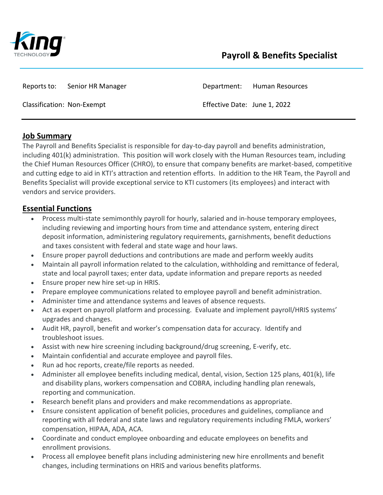

Reports to: Senior HR Manager **Department: Human Resources** 

Classification: Non-Exempt Effective Date: June 1, 2022

## **Job Summary**

The Payroll and Benefits Specialist is responsible for day-to-day payroll and benefits administration, including 401(k) administration. This position will work closely with the Human Resources team, including the Chief Human Resources Officer (CHRO), to ensure that company benefits are market-based, competitive and cutting edge to aid in KTI's attraction and retention efforts. In addition to the HR Team, the Payroll and Benefits Specialist will provide exceptional service to KTI customers (its employees) and interact with vendors and service providers.

## **Essential Functions**

- Process multi-state semimonthly payroll for hourly, salaried and in-house temporary employees, including reviewing and importing hours from time and attendance system, entering direct deposit information, administering regulatory requirements, garnishments, benefit deductions and taxes consistent with federal and state wage and hour laws.
- Ensure proper payroll deductions and contributions are made and perform weekly audits
- Maintain all payroll information related to the calculation, withholding and remittance of federal, state and local payroll taxes; enter data, update information and prepare reports as needed
- Ensure proper new hire set-up in HRIS.
- Prepare employee communications related to employee payroll and benefit administration.
- Administer time and attendance systems and leaves of absence requests.
- Act as expert on payroll platform and processing. Evaluate and implement payroll/HRIS systems' upgrades and changes.
- Audit HR, payroll, benefit and worker's compensation data for accuracy. Identify and troubleshoot issues.
- Assist with new hire screening including background/drug screening, E-verify, etc.
- Maintain confidential and accurate employee and payroll files.
- Run ad hoc reports, create/file reports as needed.
- Administer all employee benefits including medical, dental, vision, Section 125 plans, 401(k), life and disability plans, workers compensation and COBRA, including handling plan renewals, reporting and communication.
- Research benefit plans and providers and make recommendations as appropriate.
- Ensure consistent application of benefit policies, procedures and guidelines, compliance and reporting with all federal and state laws and regulatory requirements including FMLA, workers' compensation, HIPAA, ADA, ACA.
- Coordinate and conduct employee onboarding and educate employees on benefits and enrollment provisions.
- Process all employee benefit plans including administering new hire enrollments and benefit changes, including terminations on HRIS and various benefits platforms.